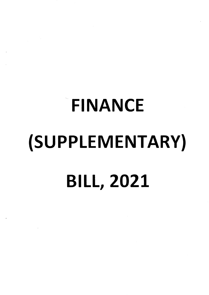# FINANCE (SUPPLEMENTARY} BILL,2O2L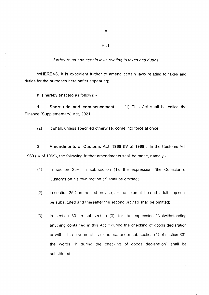A

### BILL

#### further to amend certain laws relating to taxes and duties

WHEREAS, it is expedient further to amend certain laws relating to taxes and duties for the purposes hereinafter appearing:

It is hereby enacted as follows: -

1. Short title and commencement. — (1) This Act shall be called the Finance (Supplementary) Act, 2021.

(2) lt shall, unless specified otherwise, come into force at once

2. Amendments of Customs Act, 1969 (lV of 1969).- ln the Customs Act, 1969 (lV of 1969), the following further amendments shall be made, namely.-

- (1) in section 25A, in sub-section (1), the expression "the Collector of Customs on his own motion or" shall be omitted;
- (2) in section 25D, in the first proviso, for the colon at the end, a full stop shall be substituted and thereafter the second proviso shall be omitted;
- (3) in section 80, in sub-section (3) for the expression "Notwithstanding anything contained in this Act if during the checking of goods declaration or within three years of its clearance under sub-section (1) of section 83", the words 'lf during the checking of goods declaration" shall be substituted,

1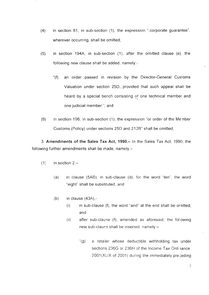- (4) in section 81, in sub-section (1), the expression ",corporate guaranlee" wherever occurring, shall be omitted;
- (5) in section 194A, in sub-section (1), after the omitted clause (e), the following new clause shall be added, namely:-
	- "(f) an order passed in revision by the Director-General Customs Valuation under section 25D, provided that such appeal shall be heard by a special bench consisting of one technical member and one judicial member:", and
- (6) in section 196, in sub-section (1), the expression "or order of the Merrber Customs (Policy) under sections 25D and 2128" shall be omitted;

3. Amendments of the Sales Tax Act, 1990.- ln the Sales Tax Act, 1990, the following further amendments shall be made, namely: $-$ 

- $(1)$  in section 2,-
	- (a) in clause (5AB), in sub-clause (d), for the word'ten", the word "eight" shall be substituted; and
	- $(b)$  in clause  $(43A)$ ,-
		- $(i)$  in sub-clause  $(f)$ , the word "and" at the end shall be ornitted; and
		- (ii) after sub-clause (f), amended as aforesaid, the folowing new sub-clause shall be inserted, namely:-
			- "(g) a retailer whose deductible withholding tax under sections 236G or 236H of the Income Tax Ordinance 2001(XLIX of 2001) during the immediately preceding

')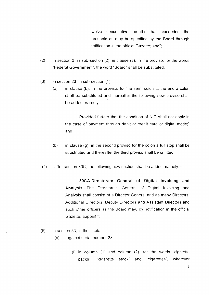twelve consecutive months has exceeded the threshold as may be specified by the Board through notification in the official Gazette; and";

- (2) in section 3, in sub-section (2), in clause (a), in the proviso, for the words "Federal Government", the word "Board" shall be substituted;
- (3) in section 23, in sub-section  $(1)$ ,-
	- (a) in clause (b), in the proviso, for the semi colon at the end a colon shall be substituted and thereafter the following new proviso shall be added, namely:-

"Provided further that the condition of NIC shall not apply in the case of payment through debit or credit card or digital mode;" and

- (b) in clause  $(q)$ , in the second proviso for the colon a full stop shall be substituted and thereafter the third proviso shall be omitted;
- $(4)$  after section 30C, the following new section shall be added, namely:-

"30CA.Directorate General of Digital lnvoicing and Analysis.--The Directorate General of Digital lnvoicing and Analysis shall consist of a Director General and as many Directors, Additional Directors. Deputy Directors and Assistant Directors and such other officers as the Board may, by notification in the official Gazette, appoint.";

- $(5)$  in section 33, in the Table.-
	- (a) against serial number 23.-
		- (i) in column (1) and column (2). for the words "cigarette packs", 'cigarette stock" and 'cigarettes", wherever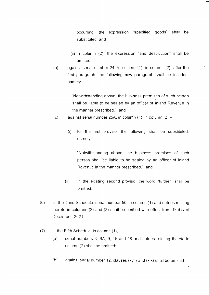occurring, the expression "specified goods" shall be substituted; and

- (ii) in column (2), the expression "and destruction" shall be omitted;
- (b) against serial number 24, in column (1), in column (2), after the first paragraph, the following new paragraph shall be inserted, namely:-

"Notwithstanding above, the business premises of such person shall be liable to be sealed by an officer of Inland Revenue in the manner prescribed."; and

- (c) against serial number 25A, in column  $(1)$ , in column  $(2)$ ,-
	- (i) for the first proviso, the following shall be substituted, namely:-

"Notwithstanding above, the business premises of ;uch person shall be liable to be sealed by an officer of Irland Revenue in the manner prescribed."; and

- (ii) in the existing second proviso, the word "further" shall be omitted;
- $(6)$  in the Third Schedule, serial number 50, in column (1) and entries relating thereto in columns (2) and (3) shall be omitted with effect from  $1<sup>st</sup>$  day of December, 2021;
- (7) in the Fifth Schedule, in column  $(1)$ ,-
	- (a) serial numbers 3, 6A, 9, 15 and 18 and entries relating thereto in column (2) shall be omitted;
	- (b) against serial number 12, clauses (xvii) and (xix) shall be omitted: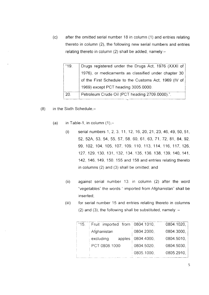after the omitted serial number 18 in column (1) and entries relating thereto in column (2), the following new serial numbers and entries relating thereto in column (2) shall be added, namely: $(c)$ 

| "19. | Drugs registered under the Drugs Act, 1976 (XXXI of   |
|------|-------------------------------------------------------|
|      | 1976), or medicaments as classified under chapter 30  |
|      | of the First Schedule to the Customs Act, 1969 (IV of |
|      | 1969) except PCT heading 3005.0000.                   |
| 20.  | Petroleum Crude Oil (PCT heading 2709.0000).".        |

- $(8)$  in the Sixth Schedule,-
	- (a) in Table-1, in column  $(1)$ ,-
		- (i) serial numbers 1,2, 3, 11, 12, 16,20, 21, 23, 46, 49,50, 51, 52, 524, 53, 54, 55, 57, 58, 60, 61, 63, 71, 72, 81, 84, 92, 99, 102, 104, 105, 107, 109, 110, 113, 114, 116, 117, 126, 127,129, 130, 131,132,134,135, 136, 138, 139, 140,141, 142, 146, 149,150, 155 and '158 and entries relating thereto in columns (2) and (3) shall be omitted; and
		- (ii) against serial number 13 in column (2) after the word "vegetables" the words " imported from Afghanistan" shall be inserted;
		- for serial number 15 and entries relating thereto in columns (2) and (3), the following shall be substituted, namely:  $-$ (iii)

| "15. | Fruit imported from 0804.1010, |            | 0804.1020, |
|------|--------------------------------|------------|------------|
|      | Afghanistan                    | 0804.2000, | 0804.3000, |
|      | excluding<br>apples            | 0804.4000, | 0804.5010, |
|      | PCT 0808.1000                  | 0804.5020, | 0804.5030  |
|      |                                | 0805.1000, | 0805.2910. |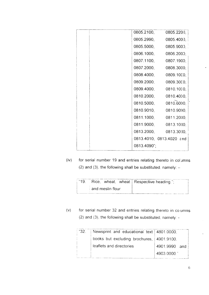|  | 0805.2100,  | 0805.2200,               |
|--|-------------|--------------------------|
|  | 0805.2990,  | 0805.400                 |
|  |             | 0805.5000, 0805.9000,    |
|  | 0806.1000,  | 0806.2000,               |
|  | 0807.1100,  | 0807.1900,               |
|  | 0807.2000,  | 0808.3000,               |
|  | 0808.4000,  | 0809.1000,               |
|  |             | 0809.2000, 0809.3000,    |
|  |             | 0809.4000, 0810.1000,    |
|  |             | 0810.2000, 0810.4000,    |
|  |             | 0810.5000, 0810.6000,    |
|  |             | 0810.9010, 0810.9090,    |
|  |             | 0811.1000, 0811.2000,    |
|  |             | 0811.9000, 0813.1000,    |
|  |             | 0813.2000, 0813.3000,    |
|  |             | 0813.4010, 0813.4020 and |
|  | 0813.4090"; |                          |
|  |             |                          |

 $(iv)$  for serial number 19 and entries relating thereto in columns (2) and (3), the following shall be substituted, namely:  $-$ 

|                         | "19. Rice, wheat, wheat Respective heading."; |
|-------------------------|-----------------------------------------------|
| $\pm$ and meslin flour. |                                               |

(v) for serial number 32 and entries relating thereto in co umns (2) and (3), the following shall be substituted, namely:  $-$ 

| <sup>"32."</sup> | Newsprint and educational text   4801.0000, |               |
|------------------|---------------------------------------------|---------------|
|                  | books but excluding brochures, 4901.9100.   |               |
|                  | leaflets and directories                    | 4901.9990 and |
|                  |                                             | 4903,0000 "   |
|                  |                                             |               |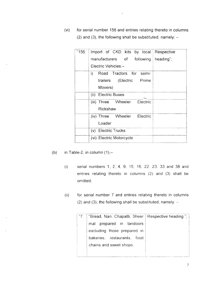(vi) for serial number 156 and entries relating thereto in columns (2) and (3), the following shall be substituted, namely:  $-$ 

 $\mathbf{A}^{(1)}$  .

| "156. | Import of CKD kits by local<br>Respective |  |
|-------|-------------------------------------------|--|
|       | manufacturers of following<br>heading";   |  |
|       | Electric Vehicles:-                       |  |
|       | Road Tractors for semi-<br>i)             |  |
|       | trailers (Electric Prime                  |  |
|       | Movers)                                   |  |
|       | (ii) Electric Buses                       |  |
|       | (iii) Three Wheeler Electric              |  |
|       | Rickshaw                                  |  |
|       | (iv) Three Wheeler Electric               |  |
|       | Loader                                    |  |
|       | (v) Electric Trucks                       |  |
|       | (vi) Electric Motorcycle                  |  |

- (b) in Table-2, in column  $(1),-$ 
	- (i) serial numbers 1,2,4,9, 15 16,22. 23. 33 and 38 and entries relating thereto in columns (2) and (3) shall be omitted;
	- (ii) for serial number 7 and entries relating thereto in columns (2) and (3), the following shall be substituted, namely:  $-$

| "Bread, Nan, Chapatti, Sheer   Respective heading."; |  |
|------------------------------------------------------|--|
| mal prepared in tandoors                             |  |
| excluding those prepared in                          |  |
| bakeries, restaurants, food                          |  |
| chains and sweet shops.                              |  |
|                                                      |  |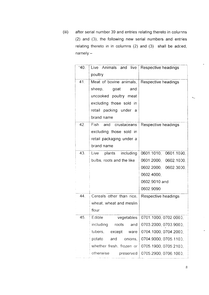(iii) after serial number 39 and entries relating thereto in colurnns (2) and (3), the following new serial numbers and entries relating thereto in in columns (2) and (3) shall be adcled, namely:-

| "40. | Live Animals and live<br>poultry | Respective headings   |
|------|----------------------------------|-----------------------|
| 41.  | Meat of bovine animals,          | Respective headings   |
|      | sheep,<br>goat<br>and            |                       |
|      | uncooked poultry meat            |                       |
|      | excluding those sold in          |                       |
|      | retail packing under<br>- a      |                       |
|      | brand name                       |                       |
| 42.  | Fish<br>and crustaceans          | Respective headings   |
|      | excluding those sold in          |                       |
|      | retail packaging under a         |                       |
|      | brand name                       |                       |
| 43.  | Live<br>plants<br>including      | 0601.1010, 0601.1090, |
|      | bulbs, roots and the like        | 0601.2000, 0602.1000. |
|      |                                  | 0602.2000, 0602.3000, |
|      |                                  | 0602.4000,            |
|      |                                  | 0602.9010 and         |
|      |                                  | 0602.9090             |
| 44.  | Cereals other than rice,         | Respective headings   |
|      | wheat, wheat and meslin          |                       |
|      | flour                            |                       |
| 45.  | Edible<br>vegetables             | 0701.1000, 0702.0000, |
|      | including<br>roots<br>and        | 0703.2000, 0703.9000, |
|      | tubers,<br>except<br>ware        | 0704.1000, 0704.2000, |
|      | potato<br>and<br>onions,         | 0704.9000, 0705.1100, |
|      | whether fresh, frozen or         | 0705.1900, 0705.2100, |
|      | otherwise<br>preserved           | 0705.2900, 0706.1000, |

 $\hat{\mathcal{A}}_{\text{in}}$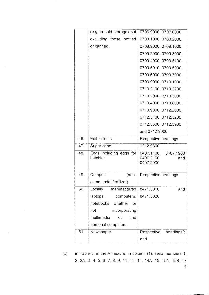|     | $(e.g.$ in cold storage) but        | 0706.9000, 0707.0000,                                    |
|-----|-------------------------------------|----------------------------------------------------------|
|     | excluding those bottled             | 0708.1000, 0708.2000,                                    |
|     | or canned.                          | 0708.9000, 0709.1000,                                    |
|     |                                     | 0709.2000, 0709.3000,                                    |
|     |                                     | 0709.4000, 0709.5100,                                    |
|     |                                     | 0709.5910, 0709.5990,                                    |
|     |                                     | 0709.6000, 0709.7000,                                    |
|     |                                     | 0709.9000, 0710.1000,                                    |
|     |                                     | 0710.2100, 0710.2200,                                    |
|     |                                     | 0710.2900, 0710.3000,                                    |
|     |                                     | 0710.4000, 0710.8000,                                    |
|     |                                     | 0710.9000, 0712.2000,                                    |
|     |                                     | 0712.3100, 0712.3200,                                    |
|     |                                     | 0712.3300, 0712.3900                                     |
|     |                                     | and 0712.9000                                            |
|     |                                     |                                                          |
| 46. | <b>Edible fruits</b>                | Respective headings                                      |
| 47. | Sugar cane                          | 1212.9300                                                |
| 48. | Eggs including eggs for<br>hatching | 0407.1900<br>0407.1100,<br>0407.2100<br>and<br>0407.2900 |
| 49. | Compost<br>$(non-$                  | Respective headings                                      |
|     | commercial fertilizer)              |                                                          |
| 50. | Locally manufactured                | 8471.3010<br>and                                         |
|     | laptops,<br>computers,              | 8471.3020                                                |
|     | notebooks whether<br>or             |                                                          |
|     | incorporating<br>not                |                                                          |
|     | multimedia<br>kit<br>and            |                                                          |
|     | personal computers                  |                                                          |
| 51. | Newspaper                           | Respective<br>headings";                                 |

in Table-3, in the Annexure, in column (1), serial numbers 1, 2,2A 3 4 5. 6 7, B. 9, 11, 13, 14, 14A, 15, 15A 158, <sup>17</sup>  $(C)$ 

 $\mathcal{A}$ 

9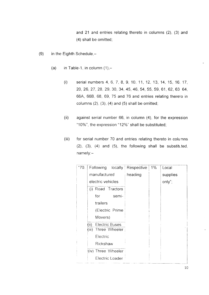and 21 and entries relating thereto in columns (2), (3) and (4) shall be omitted,

- (9) in the Eighth Schedule,-
	- (a) in Table-1, in column  $(1)$ ,-
		- (i) serial numbers 4,6,7,8, 9, 10, 11, 12, 13, 14, 15, 16. 17, 20,26,27,28,29, 30, 34,45,46,54,55, 59, 61,62,63 64, 66A, 66B, 68, 69, 75 and 76 and entries relating therelo in columns  $(2)$ ,  $(3)$ ,  $(4)$  and  $(5)$  shall be omitted;
		- (ii) against serial number 66, in column (4), for the expression "10%", the expression "12%" shall be substituted;
		- (iii) for serial number 70 and entries relating thereto in colunns  $(2)$ ,  $(3)$ ,  $(4)$  and  $(5)$ , the following shall be substituted, namely.-

| "70. | Following locally                                       | Respective | $1\%$ | Local    |
|------|---------------------------------------------------------|------------|-------|----------|
|      | manufactured                                            | heading    |       | supplies |
|      | electric vehicles                                       |            |       | only";   |
|      | (i) Road Tractors                                       |            |       |          |
|      | for<br>semi-                                            |            |       |          |
|      | trailers                                                |            |       |          |
|      | (Electric Prime                                         |            |       |          |
|      | Movers)                                                 |            |       |          |
|      | <b>Electric Buses</b><br>(ii)<br>Three Wheeler<br>(iii) |            |       |          |
|      | Electric                                                |            |       |          |
|      | Rickshaw                                                |            |       |          |
|      | (iv) Three Wheeler                                      |            |       |          |
|      | Electric Loader                                         |            |       |          |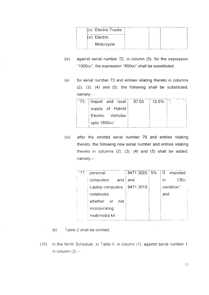|               | (v) Electric Trucks |  |  |
|---------------|---------------------|--|--|
| (vi) Electric |                     |  |  |
|               | Motorcycle          |  |  |

- (iv) against serial number 72, in column (5), for the expression "1000cc", the expression "850cc" shall be substituted,
- (v) for serial number 73 and entries relating thereto in columns (2), (3), (4) and (5), the following shall be substituted, namely:-

| "73.   Import and local | 87.03 | 12.5% | $\mathbf{H}_\mathrm{a}$ |
|-------------------------|-------|-------|-------------------------|
| supply of Hybrid        |       |       |                         |
| Electric Vehicles       |       |       |                         |
| upto 1800cc"            |       |       |                         |

(vi) after the omitted serial number 76 and entries relating thereto, the following new serial number and entries relating thereto in columns  $(2)$ ,  $(3)$ ,  $(4)$  and  $(5)$  shall be added, namely:-

| ."77. ÷ | personal                    | 8471.3020   5% | $\mathbb{R}^n$<br>imported |
|---------|-----------------------------|----------------|----------------------------|
|         | computers<br>and            | and            | CBU<br>ın                  |
|         | Laptop computers, 8471.3010 |                | condition";                |
|         | notebooks                   |                | and                        |
|         | whether or<br>not           |                |                            |
|         | incorporating               |                |                            |
|         | multimedia kit              |                |                            |

- (b) Table-2 shall be omitted;
- $(10)$  in the Ninth Schedule, in Table-II. in column  $(1)$ , against serial number 1, in column  $(2)$ .-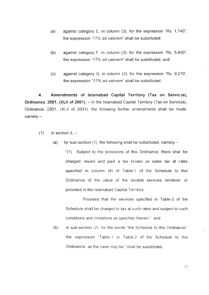- (a) against category  $E$ , in column (3), for the expression "Rs. 1,740", the expression "17% ad valorem" shall be substituted;
- (b) against category F, in column (3), for the expression "Rs. 5,400", the expression "17% ad valorem" shall be substituted; and
- (c) against category  $G$ , in column  $(3)$ , for the expression "Rs.  $9,270$ ", the expression "17% ad valorem" shall be substituted;

4. Amendments of Islamabad Capital Territory (Tax on Services), Ordinance, 2001, (XLII of 2001). - In the Islamabad Capital Territory (Tax on Services), Ordinance, 2001, (XLII of 2001), the following further amendments shall be made, namely:-

- $(1)$  in section 3,  $-$ 
	- (a) for sub-section  $(1)$ , the following shall be substituted, namely:-

"(1) Subject to the provisions of this Ordinance, there shal be charged, levied and paid a tax known as sales tax at rates specified in column (4) of Table-1 of the Schedule to this Ordinance of the value of the taxable services rendered or provided in the lslamabad Capital Territory.

Provided that the services specified in Table-2 of the Schedule shall be charged to tax at such rates and subject to such conditions and limitations as specified therein:": and

(b) in sub-section  $(2)$ , for the words "the Schedule to this Ordinance", the expression "Table-1 or Table-2 of the Schedule to this Ordinance, as the case may be." shall be substituted,

12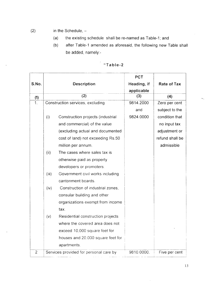- (2) in the Schedule,
	- (a) the existing schedule shall be re-named as Table-1; and
	- (b) after Table-1 amended as aforesaid, the following new Table shall be added, namely:-

|                |                                  |                                        | <b>PCT</b>  |                 |
|----------------|----------------------------------|----------------------------------------|-------------|-----------------|
| S.No.          | <b>Description</b>               |                                        | Heading, if | Rate of Tax     |
|                |                                  |                                        | applicable  |                 |
| (1)            |                                  | (2)                                    | (3)         | (4)             |
| 1 <sub>1</sub> | Construction services, excluding |                                        | 9814.2000   | Zero per cent   |
|                |                                  |                                        | and         | subject to the  |
|                | (i)                              | Construction projects (industrial      | 9824.0000   | condition that  |
|                |                                  | and commercial) of the value           |             | no input tax    |
|                |                                  | (excluding actual and documented       |             | adjustment or   |
|                |                                  | cost of land) not exceeding Rs.50      |             | refund shall be |
|                |                                  | million per annum.                     |             | admissible      |
|                | (ii)                             | The cases where sales tax is           |             |                 |
|                |                                  | otherwise paid as property             |             |                 |
|                |                                  | developers or promoters.               |             |                 |
|                | (iii)                            | Government civil works including       |             |                 |
|                |                                  | cantonment boards.                     |             |                 |
|                | (iv)                             | Construction of industrial zones,      |             |                 |
|                |                                  | consular building and other            |             |                 |
|                |                                  | organizations exempt from income       |             |                 |
|                |                                  | tax.                                   |             |                 |
|                | (v)                              | Residential construction projects      |             |                 |
|                |                                  | where the covered area does not        |             |                 |
|                |                                  | exceed 10,000 square feet for          |             |                 |
|                |                                  | houses and 20,000 square feet for      |             |                 |
|                |                                  | apartments.                            |             |                 |
| $\overline{2}$ |                                  | Services provided for personal care by | 9810.0000.  | Five per cent   |

# "Table-2

13

 $\hat{\mathcal{L}}$ 

 $\kappa_{\alpha_{\infty}}$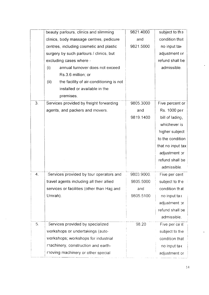|    | beauty parlours, clinics and slimming           | 9821.4000  | subject to the    |
|----|-------------------------------------------------|------------|-------------------|
|    | clinics, body massage centres, pedicure         | and        | condition that    |
|    | centres, including cosmetic and plastic         | 9821.5000  | no input tax      |
|    | surgery by such parlours / clinics, but         |            | adjustment or     |
|    | excluding cases where -                         |            | refund shall be   |
|    | (i)<br>annual turnover does not exceed          |            | admissible.       |
|    | Rs.3.6 million; or                              |            |                   |
|    | the facility of air-conditioning is not<br>(ii) |            |                   |
|    | installed or available in the                   |            |                   |
|    | premises.                                       |            |                   |
| 3. | Services provided by freight forwarding         | 9805.3000  | Five percent or   |
|    | agents, and packers and movers.                 | and        | Rs. 1000 per      |
|    |                                                 | 9819.1400  | bill of lading,   |
|    |                                                 |            | whichever is      |
|    |                                                 |            | higher subject    |
|    |                                                 |            | to the condition  |
|    |                                                 |            | that no input tax |
|    |                                                 |            | adjustment or     |
|    |                                                 |            | refund shall be   |
|    |                                                 |            | admissible.       |
| 4. | Services provided by tour operators and         | 9803.9000. | Five per cent     |
|    | travel agents including all their allied        | 9805.5000  | subject to the    |
|    | services or facilities (other than Hajj and     | and        | condition that    |
|    | Umrah).                                         | 9805.5100  | no input tax      |
|    |                                                 |            | adjustment or     |
|    |                                                 |            | refund shall be   |
|    |                                                 |            | admissible.       |
| 5. | Services provided by specialized                | 98.20      | Five per cent     |
|    | workshops or undertakings (auto-                |            | subject to the    |
|    | workshops; workshops for industrial             |            | condition that    |
|    | machinery, construction and earth-              |            | no input tax      |
|    | moving machinery or other special               |            | adjustment or     |

 $\hat{\mathcal{A}}$ 

 $\ddot{\phantom{a}}$ 

i.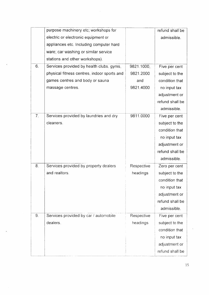|    | purpose machinery etc; workshops for        |            | refund shall be |
|----|---------------------------------------------|------------|-----------------|
|    | electric or electronic equipment or         |            | admissible.     |
|    | appliances etc. Including computer hard     |            |                 |
|    | ware; car washing or similar service        |            |                 |
|    | stations and other workshops).              |            |                 |
| 6. | Services provided by health clubs, gyms,    | 9821.1000, | Five per cent   |
|    | physical fitness centres, indoor sports and | 9821.2000  | subject to the  |
|    | games centres and body or sauna             | and        | condition that  |
|    | massage centres.                            | 9821.4000  | no input tax    |
|    |                                             |            | adjustment or   |
|    |                                             |            | refund shall be |
|    |                                             |            | admissible.     |
| 7. | Services provided by laundries and dry      | 9811.0000  | Five per cent   |
|    | cleaners.                                   |            | subject to the  |
|    |                                             |            | condition that  |
|    |                                             |            | no input tax    |
|    |                                             |            | adjustment or   |
|    |                                             |            | refund shall be |
|    |                                             |            | admissible.     |
| 8. | Services provided by property dealers       | Respective | Zero per cent   |
|    | and realtors.                               | headings   | subject to the  |
|    |                                             |            | condition that  |
|    |                                             |            | no input tax    |
|    |                                             |            | adjustment or   |
|    |                                             |            | refund shall be |
|    |                                             |            | admissible.     |
| 9. | Services provided by car / automobile       | Respective | Five per cent   |
|    | dealers.                                    | headings   | subject to the  |
|    |                                             |            | condition that  |
|    |                                             |            | no input tax    |
|    |                                             |            | adjustment or   |
|    |                                             |            | refund shall be |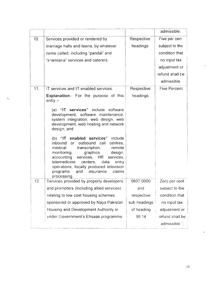|     |                                                                                                                                                                                                                                                                                                                                                             |              | admissible.         |
|-----|-------------------------------------------------------------------------------------------------------------------------------------------------------------------------------------------------------------------------------------------------------------------------------------------------------------------------------------------------------------|--------------|---------------------|
| 10. | Services provided or rendered by                                                                                                                                                                                                                                                                                                                            | Respective   | Five per cent.      |
|     | marriage halls and lawns, by whatever                                                                                                                                                                                                                                                                                                                       | headings     | subject to the      |
|     | name called, including "pandal" and                                                                                                                                                                                                                                                                                                                         |              | condition that      |
|     | "shamiana" services and caterers.                                                                                                                                                                                                                                                                                                                           |              | no input tax        |
|     |                                                                                                                                                                                                                                                                                                                                                             |              | adjustment or       |
|     |                                                                                                                                                                                                                                                                                                                                                             |              | refund shall be     |
|     |                                                                                                                                                                                                                                                                                                                                                             |              | admissible.         |
| 11. | IT services and IT-enabled services.                                                                                                                                                                                                                                                                                                                        | Respective   | <b>Five Percent</b> |
|     | <b>Explanation.-</b> For the purpose of this<br>$entry -$                                                                                                                                                                                                                                                                                                   | headings     |                     |
|     | (a) "IT services" include software<br>development, software maintenance,<br>system integration, web design, web<br>development, web hosting and network<br>design; and                                                                                                                                                                                      |              |                     |
|     | (b) "IT enabled services"<br>include<br>inbound<br>outbound call<br>centres,<br>or<br>medical<br>transcription,<br>remote<br>graphics<br>monitoring,<br>design,<br>services, HR<br>accounting<br>services.<br>telemedicine<br>centers,<br>data<br>entry<br>operations, locally produced television<br>claims<br>programs<br>and<br>insurance<br>processing. |              |                     |
| 12. | Services provided by property developers                                                                                                                                                                                                                                                                                                                    | 9807.0000    | Zero per cent       |
|     | and promoters (including allied services)                                                                                                                                                                                                                                                                                                                   | and          | subject to the      |
|     | relating to low cost housing schemes                                                                                                                                                                                                                                                                                                                        | respective   | condition that      |
|     | sponsored or approved by Naya Pakistan                                                                                                                                                                                                                                                                                                                      | sub-headings | no input tax        |
|     | Housing and Development Authority or                                                                                                                                                                                                                                                                                                                        | of heading   | adjustment or       |
|     | under Government's Ehsaas programme.                                                                                                                                                                                                                                                                                                                        | 98.14        | refund shall be     |
|     |                                                                                                                                                                                                                                                                                                                                                             |              | admissible";        |

l6

 $\ddot{\phantom{a}}$ 

 $\ddot{\phantom{a}}$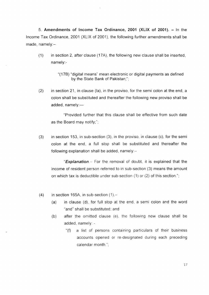5. Amendments of Income Tax Ordinance, 2001 (XLIX of 2001).  $-$  In the lncome Tax Ordinance,2001 (XLIX of 2001), the following further amendments shall be made, namely:-

- (1) in section 2, after clause (17A), the following new clause shall be inserted, namely:-
	- "(178) "digital means" mean electronic or digital payments as defined by the State Bank of Pakistan;";
- $(2)$  in section 21, in clause (la), in the proviso, for the semi colon at the end, a colon shall be substituted and thereafter the following new proviso shall be added,  $namely:$

"Provided further that this clause shall be effective from such date as the Board may notify;";

 $(3)$  in section 153, in sub-section  $(3)$ , in the proviso, in clause  $(c)$ , for the semi colon at the end, a full stop shall be substituted and thereafter the following explanation shall be added, namely: $-$ 

**"Explanation** – For the removal of doubt, it is explained that the income of resident person referred to in sub-section (3) means the amount on which tax is deductible under sub-section (1) or (2) of this section.";

- (4) in section 165A, in sub-section  $(1)$ ,-
	- (a) in clause (d), for full stop at the end, a semi colon and the word "and" shall be substituted; and
	- (b) after the omitted clause (e), the following new clause shall be added, namely: -
		- "(f) a list of persons containing particulars of their business accounts opened or re-designated during each preceding calendar month ",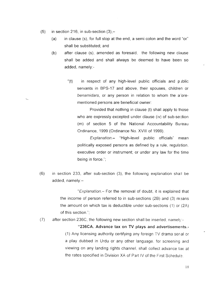$(5)$  in section 216, in sub-section  $(3)$ ,-

 $\mathbf{z}_{\mathbf{w}_\mathbf{z}}$ 

- (a) in clause (s), for full stop at the end, a semi colon and the word "or" shall be substituted; and
- $(b)$  after clause (s), amended as foresaid, the following new clause shall be added and shall always be deemed to have been so added, namely.-
	- " $(t)$  in respect of any high-level public officials and public servants in BPS-17 and above, their spouses, children or benamidars, or any person in relation to whom the a'orementioned persons are beneficial owner:

Provided that nothing in clause (t) shall apply to those who are expressly excepted under clause (iv) of sub-section (m) of section 5 of the National Accountability Bureau Ordinance, 1999 (Ordinance No. XVlll of 1999).

Explanation.- "High-level public officials" mean politically exposed persons as defined by a rule, regulation, executive order or instrument; or under any law for the time being in force.";

(6) in section 233, after sub-section (3), the following explanation shall be added, namely:-

> "Explanation.- For the removal of doubt, it is explained that the income of person referred to in sub-sections  $(2B)$  and  $(3)$  means the amount on which tax is deductible under sub-sections  $(1)$  or  $(2A)$ of this section.";

(7) after section 236C, the following new section shall be inserted, namely:-

> "236CA. Advance tax on TV plays and advertisements.- (1)Any licensing authority certifying any foreign TV drama seral or a play dubbed in Urdu or any other language. for screening and viewing on any landing rights channel, shall collect advance tax at the rates specified in Division XA of Part IV of the First Schedule.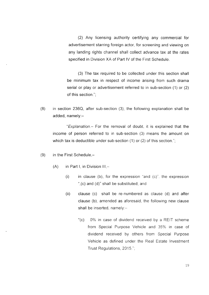(2) Any licensing authority certifying any commercial for advertisement starring foreign actor, for screening and viewing on any landing rights channel shall collect advance tax at the rates specified in Division XA of Part lV of the First Schedule.

(3) fhe tax required to be collected under this section shall be minimum tax in respect of income arising from such drama serial or play or advertisement referred to in sub-section (1) or (2) of this section.";

(8) in section 236Q, after sub-section (3), the following explanation shall be added,  $namely:-$ 

"Explanation.- For the removal of doubt, it is explained that the income of person referred to in sub-section (3) means the amount on which tax is deductible under sub-section (1) or (2) of this section.";

- $(9)$  in the First Schedule,-
	- $(A)$  in Part I, in Division III,-
		- (i) in clause (b), for the expression "and  $(c)$ " the expression ",(c) and (d)" shall be substituted; and
		- (ii) clause (c) shall be re-numbered as clause (d) and after clause (b), amended as aforesaid, the following new clause shall be inserted, namely: $-$ 
			- "(c) 0% in case of dividend received by a REIT scheme from Special Purpose Vehicle and 35% in case of dividend received by others from Special Purpose Vehicle as defined under the Real Estate lnvestment Trust Regulations, 2015.";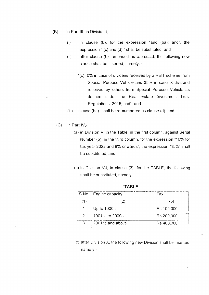- $(B)$  in Part III, in Division I,-
	- $(i)$  in clause  $(b)$ , for the expression "and  $(ba)$ ; and", the expression " $(c)$  and  $(d)$ ;" shall be substituted; and
	- after clause (b), amended as aforesaid, the following new clause shall be inserted, namely:-(ii)
		- "(c) 0% in case of dividend received by a REIT scheme from Special Purpose Vehicle and 35% in case of dividend received by others from Special Purpose Vehicle as defined under the Real Estate Investment Trust Regulations, 2015, and"; and
	- (iii) clause (ba) shall be re-numbered as clause (d); and
	- $(C)$  in Part IV,-

 $\epsilon_{\rm eq}$ 

- $(a)$  in Division V, in the Table, in the first column, against Serial Number (b), in the third column, for the expression "10'% for tax year 2022 and 8% onwards", the expression "15%" shall be substituted; and
- (b) in Division VII, in clause  $(3)$ . for the TABLE, the following shall be substituted, namely:

|               | S.No.   Engine capacity | Tax        |
|---------------|-------------------------|------------|
|               |                         |            |
|               | Up to 1000cc            | Rs.100,000 |
| $\mathcal{P}$ | $\pm$ 1001cc to 2000cc  | Rs.200.000 |
| 3             | 2001cc and above        | Rs.400,000 |

.TABLE

 $(c)$  after Division X, the following new Division shall be inserted. namely.-

 $\mathbb{C}^2$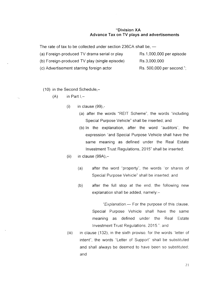## "Division XA Advance Tax on TV plays and advertisements

The rate of tax to be collected under section 236CA shall be, -

(a) Foreign-produced TV drama serial or play Rs.1,000,000 per episode (b) Foreign-produced TV play (single episode) Rs 3,000,000 (c) Advertisement starring foreign actor Rs. 500,000 per second.";

(10) in the Second Schedule,-

 $(A)$  in Part  $I, -$ 

- $(i)$  in clause  $(99)$ ,-
	- (a) after the words "REIT Scheme", the words "including Special Purpose Vehicle" shall be inserted; and
	- (b) ln the explanation, after the word "auditors", the expression ''and Special Purpose Vehicle shall have the same meaning as defined under the Real Estate lnvestment Trust Regulations, 2015" shall be inserted;
- (ii) in clause  $(99A)$ ,-
	- (a) after the word "property", the words "or shares of Special Purpose Vehicle" shall be inserted: and
	- (b) after the full stop at the end, the following new explanation shall be added, namely:-

"Explanation. $-$  For the purpose of this clause, Special Purpose Vehicle shall have the same meaning as defined under the Real Estate Investment Trust Regulations, 2015."; and

(iii) in clause (132), in the sixth proviso, for the words "letter of intent", the words "Letter of Support" shall be substituted and shall always be deemed to have been so substituted: and

27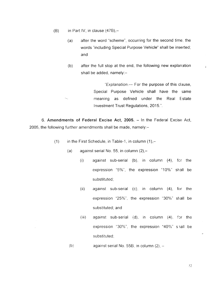(B) in Part IV, in clause  $(47B)$ ,-

 $\epsilon_{\alpha_{\rm in}}$ 

- after the word "scheme", occurring for the second time, the words "including Special Purpose Vehicle" shall be inserted; and (a)
- (b) after the full stop at the end, the following new explanation shall be added, namely: $-$

"Explanation. $-$  For the purpose of this clause, Special Purpose Vehicle shall have the same meaning as defined under the Real E state Investment Trust Regulations, 2015.".

6. Amendments of Federal Excise Act, 2005. - In the Federal Excise Act, 2005, the following further amendments shall be made, namely: $-$ 

- (1) in the First Schedule, in Table-1, in column  $(1)$ ,-
	- (a) against serial No. 55, in column  $(2), -$ 
		- $(i)$  against sub-serial (b), in column  $(4)$ , for the expression "5%", the expression "10%" shall be substituted;
		- (ii) against sub-serial (c), in column (4), for the expression "25%", the expression "30%" shall be substituted; and
		- $(iii)$  against sub-serial  $(d)$ , in column  $(4)$ , for the expression "30%", the expression "40%" shall be substituted;
	- against serial No. 55B, in column  $(2)$ ,  $(b)$

 $.22$ 

 $\mathbb{R}^2$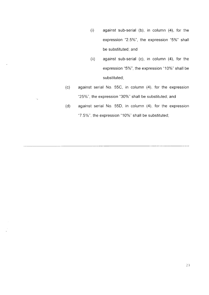- (i) against sub-serial (b), in column (4), for the expression "2.5%", the expression "5%" shall be substituted; and
- (ii) against sub-serial (c), in column (4), for the expression "5%", the expression "10%" shall be substituted;
- (c) against serial No. 55C, in column (4), for the expression "25%", the expression "30%" shall be substituted; and

u.

(d) against serial No. 55D, in column (4), for the expression "7.5%", the expression "10%" shall be substituted;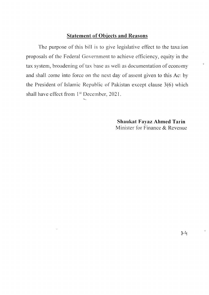## Statement of Obiects and Reasons

The purpose of this bill is to give legislative effect to the taxation proposals of the Federal Government to achieve efficiency, equity in the tax system, broadening of tax base as well as documentation of economy and shall come into force on the next day of assent given to this Act by the President of Islamic Republic of Pakistan except clause  $3(6)$  which shall have effect from 1<sup>st</sup> December, 2021.

> Shaukat Fayaz Ahmed Tarin Minister for Finance & Revenue

 $\bar{z}$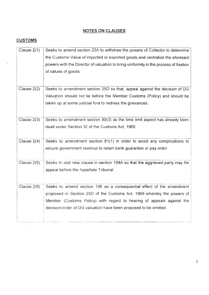## NOTES ON CLAUSES

## **CUSTOMS**

 $\frac{1}{2}$  ,  $\frac{1}{2}$ 

i.

| Clause 2(1) | Seeks to amend section 25A to withdraw the powers of Collector to determine          |
|-------------|--------------------------------------------------------------------------------------|
|             | the Customs Value of imported or exported goods and centralize the aforesaid         |
|             | powers with the Director of valuation to bring uniformity in the process of fixation |
|             | of values of goods.                                                                  |
|             |                                                                                      |
| Clause 2(2) | Seeks to amendment section 25D so that, appeal against the decision of DG            |
|             |                                                                                      |
|             | Valuation should not lie before the Member Customs (Policy) and should be            |
|             | taken up at some judicial fora to redress the grievances.                            |
|             |                                                                                      |
| Clause 2(3) | Seeks to amendment section 80(3) as the time limit aspect has already been           |
|             | dealt under Section 32 of the Customs Act, 1969.                                     |
|             |                                                                                      |
| Clause 2(4) | Seeks to amendment section 81(1) in order to avoid any complications to              |
|             | secure government revenue to retain bank guarantee or pay order.                     |
|             |                                                                                      |
| Clause 2(5) | Seeks to add new clause in section 194A so that the aggrieved party may file         |
|             |                                                                                      |
|             | appeal before the Appellate Tribunal.                                                |
|             |                                                                                      |
| Clause 2(6) | Seeks to amend section 196 as a consequential effect of the amendment                |
|             | proposed in Section 25D of the Customs Act, 1969 whereby the powers of               |
|             | Member (Customs Policy) with regard to hearing of appeals against the                |
|             | decision/order of DG valuation have been proposed to be omitted.                     |
|             |                                                                                      |
|             |                                                                                      |